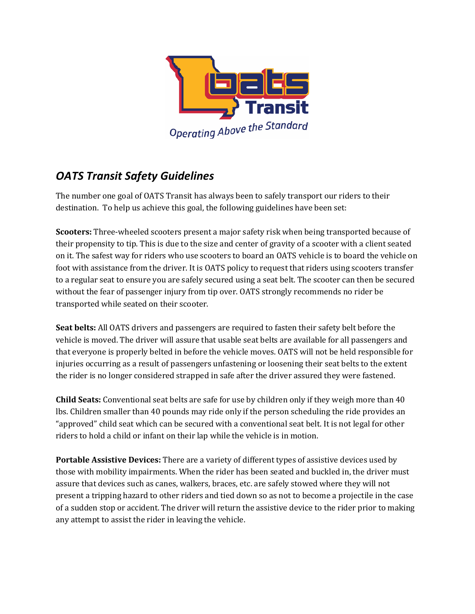

## *OATS Transit Safety Guidelines*

The number one goal of OATS Transit has always been to safely transport our riders to their destination. To help us achieve this goal, the following guidelines have been set:

**Scooters:** Three-wheeled scooters present a major safety risk when being transported because of their propensity to tip. This is due to the size and center of gravity of a scooter with a client seated on it. The safest way for riders who use scooters to board an OATS vehicle is to board the vehicle on foot with assistance from the driver. It is OATS policy to request that riders using scooters transfer to a regular seat to ensure you are safely secured using a seat belt. The scooter can then be secured without the fear of passenger injury from tip over. OATS strongly recommends no rider be transported while seated on their scooter.

**Seat belts:** All OATS drivers and passengers are required to fasten their safety belt before the vehicle is moved. The driver will assure that usable seat belts are available for all passengers and that everyone is properly belted in before the vehicle moves. OATS will not be held responsible for injuries occurring as a result of passengers unfastening or loosening their seat belts to the extent the rider is no longer considered strapped in safe after the driver assured they were fastened.

**Child Seats:** Conventional seat belts are safe for use by children only if they weigh more than 40 lbs. Children smaller than 40 pounds may ride only if the person scheduling the ride provides an "approved" child seat which can be secured with a conventional seat belt. It is not legal for other riders to hold a child or infant on their lap while the vehicle is in motion.

**Portable Assistive Devices:** There are a variety of different types of assistive devices used by those with mobility impairments. When the rider has been seated and buckled in, the driver must assure that devices such as canes, walkers, braces, etc. are safely stowed where they will not present a tripping hazard to other riders and tied down so as not to become a projectile in the case of a sudden stop or accident. The driver will return the assistive device to the rider prior to making any attempt to assist the rider in leaving the vehicle.